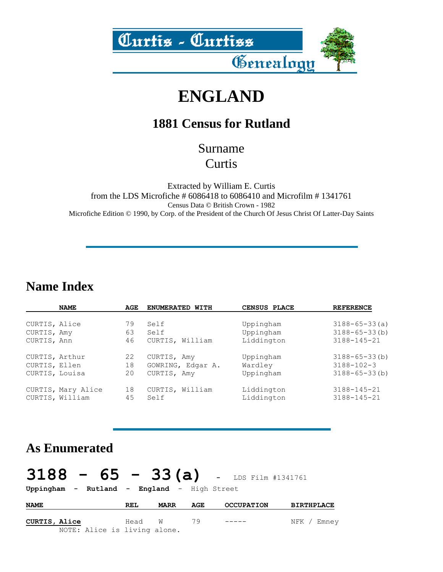

## **ENGLAND**

### **1881 Census for Rutland**

#### Surname **Curtis**

Extracted by William E. Curtis from the LDS Microfiche # 6086418 to 6086410 and Microfilm # 1341761 Census Data © British Crown - 1982 Microfiche Edition © 1990, by Corp. of the President of the Church Of Jesus Christ Of Latter-Day Saints

#### **Name Index**

|                | <b>NAME</b>                           | AGE      | ENUMERATED WITH         | CENSUS PLACE             | <b>REFERENCE</b>                       |
|----------------|---------------------------------------|----------|-------------------------|--------------------------|----------------------------------------|
|                |                                       |          |                         |                          |                                        |
| CURTIS, Alice  |                                       | 79       | Self                    | Uppingham                | $3188 - 65 - 33(a)$                    |
| CURTIS, Amy    |                                       | 63       | Self                    | Uppingham                | $3188 - 65 - 33(b)$                    |
| CURTIS, Ann    |                                       | 46       | CURTIS, William         | Liddington               | $3188 - 145 - 21$                      |
| CURTIS, Arthur |                                       | 22       | CURTIS, Amy             | Uppingham                | $3188 - 65 - 33(b)$                    |
| CURTIS, Ellen  |                                       | 18       | GOWRING, Edgar A.       | Wardley                  | $3188 - 102 - 3$                       |
| CURTIS, Louisa |                                       | 20       | CURTIS, Amy             | Uppingham                | $3188 - 65 - 33(b)$                    |
|                | CURTIS, Mary Alice<br>CURTIS, William | 18<br>45 | CURTIS, William<br>Self | Liddington<br>Liddington | $3188 - 145 - 21$<br>$3188 - 145 - 21$ |

#### **As Enumerated**

# **3188 - 65 - 33(a) -** LDS Film #1341761

**Uppingham - Rutland - England** - High Street

| <b>NAME</b>          |  | REL                          | <b>MARR</b> | AGE |               | <b>OCCUPATION</b> | <b>BIRTHPLACE</b> |             |
|----------------------|--|------------------------------|-------------|-----|---------------|-------------------|-------------------|-------------|
| <b>CURTIS, Alice</b> |  | Head W 79                    |             |     | $- - - - - -$ |                   |                   | NFK / Emney |
|                      |  | NOTE: Alice is living alone. |             |     |               |                   |                   |             |